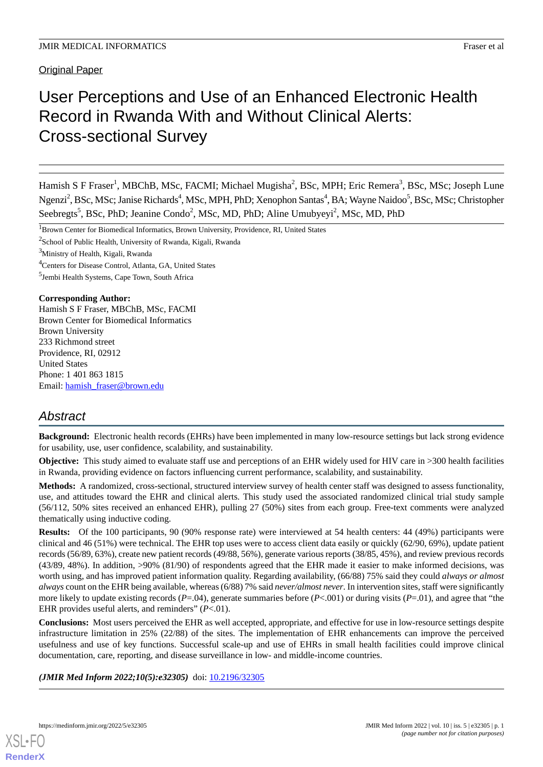# User Perceptions and Use of an Enhanced Electronic Health Record in Rwanda With and Without Clinical Alerts: Cross-sectional Survey

Hamish S F Fraser<sup>1</sup>, MBChB, MSc, FACMI; Michael Mugisha<sup>2</sup>, BSc, MPH; Eric Remera<sup>3</sup>, BSc, MSc; Joseph Lune Ngenzi<sup>2</sup>, BSc, MSc; Janise Richards<sup>4</sup>, MSc, MPH, PhD; Xenophon Santas<sup>4</sup>, BA; Wayne Naidoo<sup>5</sup>, BSc, MSc; Christopher Seebregts<sup>5</sup>, BSc, PhD; Jeanine Condo<sup>2</sup>, MSc, MD, PhD; Aline Umubyeyi<sup>2</sup>, MSc, MD, PhD

<sup>1</sup>Brown Center for Biomedical Informatics, Brown University, Providence, RI, United States

<sup>2</sup>School of Public Health, University of Rwanda, Kigali, Rwanda

<sup>3</sup>Ministry of Health, Kigali, Rwanda

<sup>4</sup>Centers for Disease Control, Atlanta, GA, United States

5 Jembi Health Systems, Cape Town, South Africa

#### **Corresponding Author:**

Hamish S F Fraser, MBChB, MSc, FACMI Brown Center for Biomedical Informatics Brown University 233 Richmond street Providence, RI, 02912 United States Phone: 1 401 863 1815 Email: [hamish\\_fraser@brown.edu](mailto:hamish_fraser@brown.edu)

# *Abstract*

**Background:** Electronic health records (EHRs) have been implemented in many low-resource settings but lack strong evidence for usability, use, user confidence, scalability, and sustainability.

**Objective:** This study aimed to evaluate staff use and perceptions of an EHR widely used for HIV care in >300 health facilities in Rwanda, providing evidence on factors influencing current performance, scalability, and sustainability.

**Methods:** A randomized, cross-sectional, structured interview survey of health center staff was designed to assess functionality, use, and attitudes toward the EHR and clinical alerts. This study used the associated randomized clinical trial study sample (56/112, 50% sites received an enhanced EHR), pulling 27 (50%) sites from each group. Free-text comments were analyzed thematically using inductive coding.

**Results:** Of the 100 participants, 90 (90% response rate) were interviewed at 54 health centers: 44 (49%) participants were clinical and 46 (51%) were technical. The EHR top uses were to access client data easily or quickly (62/90, 69%), update patient records (56/89, 63%), create new patient records (49/88, 56%), generate various reports (38/85, 45%), and review previous records (43/89, 48%). In addition, >90% (81/90) of respondents agreed that the EHR made it easier to make informed decisions, was worth using, and has improved patient information quality. Regarding availability, (66/88) 75% said they could *always or almost always* count on the EHR being available, whereas (6/88) 7% said *never/almost never*. In intervention sites, staff were significantly more likely to update existing records  $(P=.04)$ , generate summaries before  $(P<.001)$  or during visits  $(P=.01)$ , and agree that "the EHR provides useful alerts, and reminders" (*P*<.01).

**Conclusions:** Most users perceived the EHR as well accepted, appropriate, and effective for use in low-resource settings despite infrastructure limitation in 25% (22/88) of the sites. The implementation of EHR enhancements can improve the perceived usefulness and use of key functions. Successful scale-up and use of EHRs in small health facilities could improve clinical documentation, care, reporting, and disease surveillance in low- and middle-income countries.

(JMIR Med Inform 2022;10(5):e32305) doi: [10.2196/32305](http://dx.doi.org/10.2196/32305)

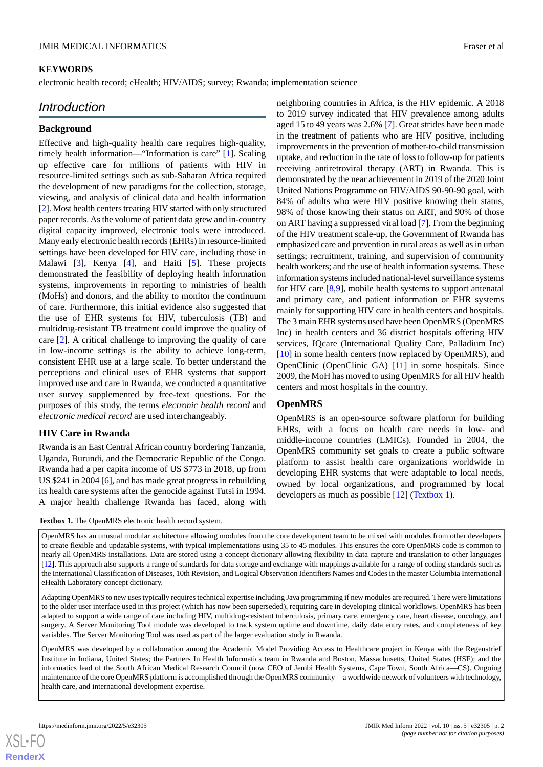#### **KEYWORDS**

electronic health record; eHealth; HIV/AIDS; survey; Rwanda; implementation science

# *Introduction*

#### **Background**

Effective and high-quality health care requires high-quality, timely health information—"Information is care" [[1\]](#page-11-0). Scaling up effective care for millions of patients with HIV in resource-limited settings such as sub-Saharan Africa required the development of new paradigms for the collection, storage, viewing, and analysis of clinical data and health information [[2\]](#page-11-1). Most health centers treating HIV started with only structured paper records. As the volume of patient data grew and in-country digital capacity improved, electronic tools were introduced. Many early electronic health records (EHRs) in resource-limited settings have been developed for HIV care, including those in Malawi [[3\]](#page-11-2), Kenya [[4\]](#page-11-3), and Haiti [\[5](#page-11-4)]. These projects demonstrated the feasibility of deploying health information systems, improvements in reporting to ministries of health (MoHs) and donors, and the ability to monitor the continuum of care. Furthermore, this initial evidence also suggested that the use of EHR systems for HIV, tuberculosis (TB) and multidrug-resistant TB treatment could improve the quality of care [[2\]](#page-11-1). A critical challenge to improving the quality of care in low-income settings is the ability to achieve long-term, consistent EHR use at a large scale. To better understand the perceptions and clinical uses of EHR systems that support improved use and care in Rwanda, we conducted a quantitative user survey supplemented by free-text questions. For the purposes of this study, the terms *electronic health record* and *electronic medical record* are used interchangeably.

#### **HIV Care in Rwanda**

<span id="page-1-0"></span>Rwanda is an East Central African country bordering Tanzania, Uganda, Burundi, and the Democratic Republic of the Congo. Rwanda had a per capita income of US \$773 in 2018, up from US \$241 in 2004 [[6\]](#page-11-5), and has made great progress in rebuilding its health care systems after the genocide against Tutsi in 1994. A major health challenge Rwanda has faced, along with

neighboring countries in Africa, is the HIV epidemic. A 2018 to 2019 survey indicated that HIV prevalence among adults aged 15 to 49 years was 2.6% [[7\]](#page-11-6). Great strides have been made in the treatment of patients who are HIV positive, including improvements in the prevention of mother-to-child transmission uptake, and reduction in the rate of loss to follow-up for patients receiving antiretroviral therapy (ART) in Rwanda. This is demonstrated by the near achievement in 2019 of the 2020 Joint United Nations Programme on HIV/AIDS 90-90-90 goal, with 84% of adults who were HIV positive knowing their status, 98% of those knowing their status on ART, and 90% of those on ART having a suppressed viral load [[7\]](#page-11-6). From the beginning of the HIV treatment scale-up, the Government of Rwanda has emphasized care and prevention in rural areas as well as in urban settings; recruitment, training, and supervision of community health workers; and the use of health information systems. These information systems included national-level surveillance systems for HIV care [[8](#page-11-7)[,9](#page-11-8)], mobile health systems to support antenatal and primary care, and patient information or EHR systems mainly for supporting HIV care in health centers and hospitals. The 3 main EHR systems used have been OpenMRS (OpenMRS Inc) in health centers and 36 district hospitals offering HIV services, IQcare (International Quality Care, Palladium Inc) [[10\]](#page-11-9) in some health centers (now replaced by OpenMRS), and OpenClinic (OpenClinic GA) [\[11](#page-11-10)] in some hospitals. Since 2009, the MoH has moved to using OpenMRS for all HIV health centers and most hospitals in the country.

#### **OpenMRS**

OpenMRS is an open-source software platform for building EHRs, with a focus on health care needs in low- and middle-income countries (LMICs). Founded in 2004, the OpenMRS community set goals to create a public software platform to assist health care organizations worldwide in developing EHR systems that were adaptable to local needs, owned by local organizations, and programmed by local developers as much as possible [\[12](#page-12-0)] [\(Textbox 1](#page-1-0)).

**Textbox 1.** The OpenMRS electronic health record system.

OpenMRS has an unusual modular architecture allowing modules from the core development team to be mixed with modules from other developers to create flexible and updatable systems, with typical implementations using 35 to 45 modules. This ensures the core OpenMRS code is common to nearly all OpenMRS installations. Data are stored using a concept dictionary allowing flexibility in data capture and translation to other languages [\[12\]](#page-12-0). This approach also supports a range of standards for data storage and exchange with mappings available for a range of coding standards such as the International Classification of Diseases, 10th Revision, and Logical Observation Identifiers Names and Codes in the master Columbia International eHealth Laboratory concept dictionary.

Adapting OpenMRS to new uses typically requires technical expertise including Java programming if new modules are required. There were limitations to the older user interface used in this project (which has now been superseded), requiring care in developing clinical workflows. OpenMRS has been adapted to support a wide range of care including HIV, multidrug-resistant tuberculosis, primary care, emergency care, heart disease, oncology, and surgery. A Server Monitoring Tool module was developed to track system uptime and downtime, daily data entry rates, and completeness of key variables. The Server Monitoring Tool was used as part of the larger evaluation study in Rwanda.

OpenMRS was developed by a collaboration among the Academic Model Providing Access to Healthcare project in Kenya with the Regenstrief Institute in Indiana, United States; the Partners In Health Informatics team in Rwanda and Boston, Massachusetts, United States (HSF); and the informatics lead of the South African Medical Research Council (now CEO of Jembi Health Systems, Cape Town, South Africa—CS). Ongoing maintenance of the core OpenMRS platform is accomplished through the OpenMRS community—a worldwide network of volunteers with technology, health care, and international development expertise.

 $XS$  • FC **[RenderX](http://www.renderx.com/)**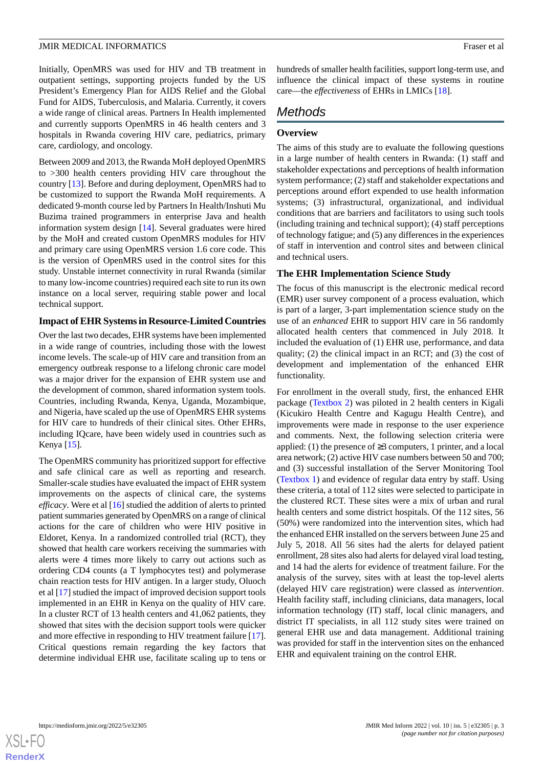Initially, OpenMRS was used for HIV and TB treatment in outpatient settings, supporting projects funded by the US President's Emergency Plan for AIDS Relief and the Global Fund for AIDS, Tuberculosis, and Malaria. Currently, it covers a wide range of clinical areas. Partners In Health implemented and currently supports OpenMRS in 46 health centers and 3 hospitals in Rwanda covering HIV care, pediatrics, primary care, cardiology, and oncology.

Between 2009 and 2013, the Rwanda MoH deployed OpenMRS to >300 health centers providing HIV care throughout the country [\[13](#page-12-1)]. Before and during deployment, OpenMRS had to be customized to support the Rwanda MoH requirements. A dedicated 9-month course led by Partners In Health/Inshuti Mu Buzima trained programmers in enterprise Java and health information system design [[14\]](#page-12-2). Several graduates were hired by the MoH and created custom OpenMRS modules for HIV and primary care using OpenMRS version 1.6 core code. This is the version of OpenMRS used in the control sites for this study. Unstable internet connectivity in rural Rwanda (similar to many low-income countries) required each site to run its own instance on a local server, requiring stable power and local technical support.

#### **Impact of EHR Systems in Resource-Limited Countries**

Over the last two decades, EHR systems have been implemented in a wide range of countries, including those with the lowest income levels. The scale-up of HIV care and transition from an emergency outbreak response to a lifelong chronic care model was a major driver for the expansion of EHR system use and the development of common, shared information system tools. Countries, including Rwanda, Kenya, Uganda, Mozambique, and Nigeria, have scaled up the use of OpenMRS EHR systems for HIV care to hundreds of their clinical sites. Other EHRs, including IQcare, have been widely used in countries such as Kenya [\[15](#page-12-3)].

The OpenMRS community has prioritized support for effective and safe clinical care as well as reporting and research. Smaller-scale studies have evaluated the impact of EHR system improvements on the aspects of clinical care, the systems *efficacy*. Were et al [\[16](#page-12-4)] studied the addition of alerts to printed patient summaries generated by OpenMRS on a range of clinical actions for the care of children who were HIV positive in Eldoret, Kenya. In a randomized controlled trial (RCT), they showed that health care workers receiving the summaries with alerts were 4 times more likely to carry out actions such as ordering CD4 counts (a T lymphocytes test) and polymerase chain reaction tests for HIV antigen. In a larger study, Oluoch et al [\[17](#page-12-5)] studied the impact of improved decision support tools implemented in an EHR in Kenya on the quality of HIV care. In a cluster RCT of 13 health centers and 41,062 patients, they showed that sites with the decision support tools were quicker and more effective in responding to HIV treatment failure [[17\]](#page-12-5). Critical questions remain regarding the key factors that determine individual EHR use, facilitate scaling up to tens or

hundreds of smaller health facilities, support long-term use, and influence the clinical impact of these systems in routine care—the *effectiveness* of EHRs in LMICs [\[18](#page-12-6)].

# *Methods*

#### **Overview**

The aims of this study are to evaluate the following questions in a large number of health centers in Rwanda: (1) staff and stakeholder expectations and perceptions of health information system performance; (2) staff and stakeholder expectations and perceptions around effort expended to use health information systems; (3) infrastructural, organizational, and individual conditions that are barriers and facilitators to using such tools (including training and technical support); (4) staff perceptions of technology fatigue; and (5) any differences in the experiences of staff in intervention and control sites and between clinical and technical users.

#### **The EHR Implementation Science Study**

The focus of this manuscript is the electronic medical record (EMR) user survey component of a process evaluation, which is part of a larger, 3-part implementation science study on the use of an *enhanced* EHR to support HIV care in 56 randomly allocated health centers that commenced in July 2018. It included the evaluation of (1) EHR use, performance, and data quality; (2) the clinical impact in an RCT; and (3) the cost of development and implementation of the enhanced EHR functionality.

For enrollment in the overall study, first, the enhanced EHR package ([Textbox 2](#page-3-0)) was piloted in 2 health centers in Kigali (Kicukiro Health Centre and Kagugu Health Centre), and improvements were made in response to the user experience and comments. Next, the following selection criteria were applied: (1) the presence of  $\geq$ 3 computers, 1 printer, and a local area network; (2) active HIV case numbers between 50 and 700; and (3) successful installation of the Server Monitoring Tool ([Textbox 1](#page-1-0)) and evidence of regular data entry by staff. Using these criteria, a total of 112 sites were selected to participate in the clustered RCT. These sites were a mix of urban and rural health centers and some district hospitals. Of the 112 sites, 56 (50%) were randomized into the intervention sites, which had the enhanced EHR installed on the servers between June 25 and July 5, 2018. All 56 sites had the alerts for delayed patient enrollment, 28 sites also had alerts for delayed viral load testing, and 14 had the alerts for evidence of treatment failure. For the analysis of the survey, sites with at least the top-level alerts (delayed HIV care registration) were classed as *intervention*. Health facility staff, including clinicians, data managers, local information technology (IT) staff, local clinic managers, and district IT specialists, in all 112 study sites were trained on general EHR use and data management. Additional training was provided for staff in the intervention sites on the enhanced EHR and equivalent training on the control EHR.

 $XS$  $\cdot$ FC **[RenderX](http://www.renderx.com/)**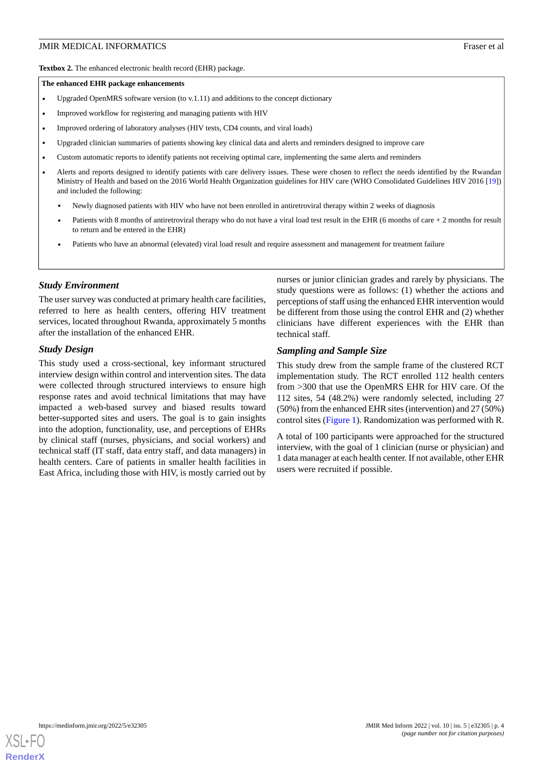<span id="page-3-0"></span>**Textbox 2.** The enhanced electronic health record (EHR) package.

#### **The enhanced EHR package enhancements**

- Upgraded OpenMRS software version (to v.1.11) and additions to the concept dictionary
- Improved workflow for registering and managing patients with HIV
- Improved ordering of laboratory analyses (HIV tests, CD4 counts, and viral loads)
- Upgraded clinician summaries of patients showing key clinical data and alerts and reminders designed to improve care
- Custom automatic reports to identify patients not receiving optimal care, implementing the same alerts and reminders
- Alerts and reports designed to identify patients with care delivery issues. These were chosen to reflect the needs identified by the Rwandan Ministry of Health and based on the 2016 World Health Organization guidelines for HIV care (WHO Consolidated Guidelines HIV 2016 [[19](#page-12-7)]) and included the following:
	- Newly diagnosed patients with HIV who have not been enrolled in antiretroviral therapy within 2 weeks of diagnosis
	- Patients with 8 months of antiretroviral therapy who do not have a viral load test result in the EHR (6 months of care  $+2$  months for result to return and be entered in the EHR)
	- Patients who have an abnormal (elevated) viral load result and require assessment and management for treatment failure

#### *Study Environment*

The user survey was conducted at primary health care facilities, referred to here as health centers, offering HIV treatment services, located throughout Rwanda, approximately 5 months after the installation of the enhanced EHR.

#### *Study Design*

This study used a cross-sectional, key informant structured interview design within control and intervention sites. The data were collected through structured interviews to ensure high response rates and avoid technical limitations that may have impacted a web-based survey and biased results toward better-supported sites and users. The goal is to gain insights into the adoption, functionality, use, and perceptions of EHRs by clinical staff (nurses, physicians, and social workers) and technical staff (IT staff, data entry staff, and data managers) in health centers. Care of patients in smaller health facilities in East Africa, including those with HIV, is mostly carried out by

nurses or junior clinician grades and rarely by physicians. The study questions were as follows: (1) whether the actions and perceptions of staff using the enhanced EHR intervention would be different from those using the control EHR and (2) whether clinicians have different experiences with the EHR than technical staff.

#### *Sampling and Sample Size*

This study drew from the sample frame of the clustered RCT implementation study. The RCT enrolled 112 health centers from >300 that use the OpenMRS EHR for HIV care. Of the 112 sites, 54 (48.2%) were randomly selected, including 27 (50%) from the enhanced EHR sites (intervention) and 27 (50%) control sites ([Figure 1\)](#page-4-0). Randomization was performed with R.

A total of 100 participants were approached for the structured interview, with the goal of 1 clinician (nurse or physician) and 1 data manager at each health center. If not available, other EHR users were recruited if possible.

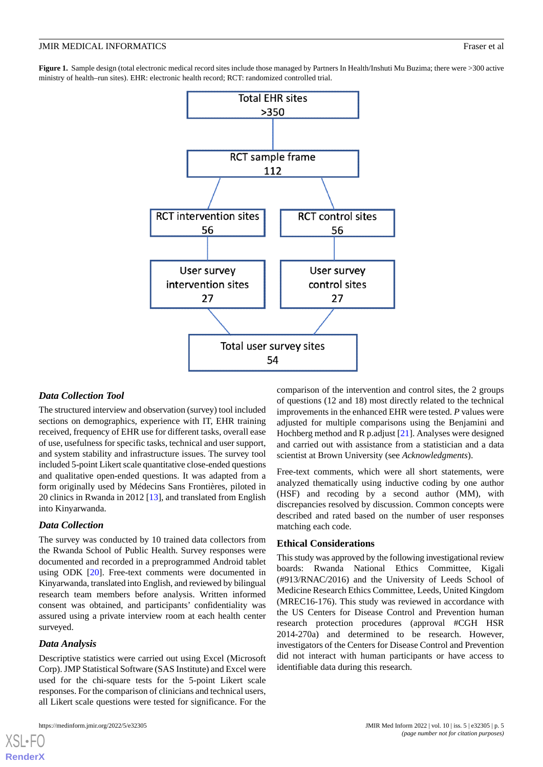<span id="page-4-0"></span>Figure 1. Sample design (total electronic medical record sites include those managed by Partners In Health/Inshuti Mu Buzima; there were >300 active ministry of health–run sites). EHR: electronic health record; RCT: randomized controlled trial.



#### *Data Collection Tool*

The structured interview and observation (survey) tool included sections on demographics, experience with IT, EHR training received, frequency of EHR use for different tasks, overall ease of use, usefulness for specific tasks, technical and user support, and system stability and infrastructure issues. The survey tool included 5-point Likert scale quantitative close-ended questions and qualitative open-ended questions. It was adapted from a form originally used by Médecins Sans Frontières, piloted in 20 clinics in Rwanda in 2012 [[13\]](#page-12-1), and translated from English into Kinyarwanda.

#### *Data Collection*

The survey was conducted by 10 trained data collectors from the Rwanda School of Public Health. Survey responses were documented and recorded in a preprogrammed Android tablet using ODK [[20\]](#page-12-8). Free-text comments were documented in Kinyarwanda, translated into English, and reviewed by bilingual research team members before analysis. Written informed consent was obtained, and participants' confidentiality was assured using a private interview room at each health center surveyed.

#### *Data Analysis*

[XSL](http://www.w3.org/Style/XSL)•FO **[RenderX](http://www.renderx.com/)**

Descriptive statistics were carried out using Excel (Microsoft Corp). JMP Statistical Software (SAS Institute) and Excel were used for the chi-square tests for the 5-point Likert scale responses. For the comparison of clinicians and technical users, all Likert scale questions were tested for significance. For the

comparison of the intervention and control sites, the 2 groups of questions (12 and 18) most directly related to the technical improvements in the enhanced EHR were tested. *P* values were adjusted for multiple comparisons using the Benjamini and Hochberg method and R p.adjust [\[21](#page-12-9)]. Analyses were designed and carried out with assistance from a statistician and a data scientist at Brown University (see *Acknowledgments*).

Free-text comments, which were all short statements, were analyzed thematically using inductive coding by one author (HSF) and recoding by a second author (MM), with discrepancies resolved by discussion. Common concepts were described and rated based on the number of user responses matching each code.

#### **Ethical Considerations**

This study was approved by the following investigational review boards: Rwanda National Ethics Committee, Kigali (#913/RNAC/2016) and the University of Leeds School of Medicine Research Ethics Committee, Leeds, United Kingdom (MREC16-176). This study was reviewed in accordance with the US Centers for Disease Control and Prevention human research protection procedures (approval #CGH HSR 2014-270a) and determined to be research. However, investigators of the Centers for Disease Control and Prevention did not interact with human participants or have access to identifiable data during this research.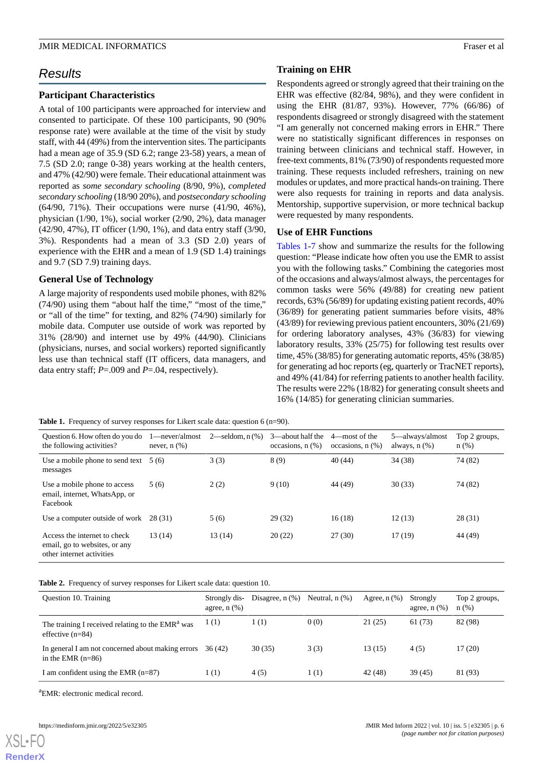# *Results*

#### **Participant Characteristics**

A total of 100 participants were approached for interview and consented to participate. Of these 100 participants, 90 (90% response rate) were available at the time of the visit by study staff, with 44 (49%) from the intervention sites. The participants had a mean age of 35.9 (SD 6.2; range 23-58) years, a mean of 7.5 (SD 2.0; range 0-38) years working at the health centers, and 47% (42/90) were female. Their educational attainment was reported as *some secondary schooling* (8/90, 9%), *completed secondary schooling* (18/90 20%), and *postsecondary schooling* (64/90, 71%). Their occupations were nurse (41/90, 46%), physician (1/90, 1%), social worker (2/90, 2%), data manager (42/90, 47%), IT officer (1/90, 1%), and data entry staff (3/90, 3%). Respondents had a mean of 3.3 (SD 2.0) years of experience with the EHR and a mean of 1.9 (SD 1.4) trainings and 9.7 (SD 7.9) training days.

#### **General Use of Technology**

A large majority of respondents used mobile phones, with 82% (74/90) using them "about half the time," "most of the time," or "all of the time" for texting, and 82% (74/90) similarly for mobile data. Computer use outside of work was reported by 31% (28/90) and internet use by 49% (44/90). Clinicians (physicians, nurses, and social workers) reported significantly less use than technical staff (IT officers, data managers, and data entry staff; *P*=.009 and *P*=.04, respectively).

#### **Training on EHR**

Respondents agreed or strongly agreed that their training on the EHR was effective (82/84, 98%), and they were confident in using the EHR (81/87, 93%). However, 77% (66/86) of respondents disagreed or strongly disagreed with the statement "I am generally not concerned making errors in EHR." There were no statistically significant differences in responses on training between clinicians and technical staff. However, in free-text comments, 81% (73/90) of respondents requested more training. These requests included refreshers, training on new modules or updates, and more practical hands-on training. There were also requests for training in reports and data analysis. Mentorship, supportive supervision, or more technical backup were requested by many respondents.

#### **Use of EHR Functions**

[Tables 1-](#page-5-0)[7](#page-7-0) show and summarize the results for the following question: "Please indicate how often you use the EMR to assist you with the following tasks." Combining the categories most of the occasions and always/almost always, the percentages for common tasks were 56% (49/88) for creating new patient records, 63% (56/89) for updating existing patient records, 40% (36/89) for generating patient summaries before visits, 48% (43/89) for reviewing previous patient encounters, 30% (21/69) for ordering laboratory analyses, 43% (36/83) for viewing laboratory results, 33% (25/75) for following test results over time, 45% (38/85) for generating automatic reports, 45% (38/85) for generating ad hoc reports (eg, quarterly or TracNET reports), and 49% (41/84) for referring patients to another health facility. The results were 22% (18/82) for generating consult sheets and 16% (14/85) for generating clinician summaries.

<span id="page-5-0"></span>Table 1. Frequency of survey responses for Likert scale data: question 6 (n=90).

| Question 6. How often do you do<br>the following activities?                               | 1—never/almost<br>never, $n$ $(\%)$ | $2$ —seldom, n $(\%)$ | $3$ —about half the<br>occasions, $n$ $(\%)$ | 4—most of the<br>occasions, $n$ $(\%)$ | 5—always/almost<br>always, $n$ $(\%)$ | Top 2 groups,<br>$n$ (%) |
|--------------------------------------------------------------------------------------------|-------------------------------------|-----------------------|----------------------------------------------|----------------------------------------|---------------------------------------|--------------------------|
| Use a mobile phone to send text $5(6)$<br>messages                                         |                                     | 3(3)                  | 8(9)                                         | 40(44)                                 | 34(38)                                | 74 (82)                  |
| Use a mobile phone to access<br>email, internet, WhatsApp, or<br>Facebook                  | 5(6)                                | 2(2)                  | 9(10)                                        | 44 (49)                                | 30(33)                                | 74 (82)                  |
| Use a computer outside of work                                                             | 28 (31)                             | 5(6)                  | 29(32)                                       | 16(18)                                 | 12(13)                                | 28(31)                   |
| Access the internet to check<br>email, go to websites, or any<br>other internet activities | 13(14)                              | 13 (14)               | 20(22)                                       | 27(30)                                 | 17 (19)                               | 44 (49)                  |

**Table 2.** Frequency of survey responses for Likert scale data: question 10.

| Question 10. Training                                                              | Strongly dis-<br>agree, $n$ $(\%)$ | Disagree, $n$ $(\%)$ | Neutral, $n$ $(\%)$ | Agree, $n$ $(\%)$ | Strongly<br>agree, $n$ $(\%)$ | Top 2 groups,<br>$n$ (%) |
|------------------------------------------------------------------------------------|------------------------------------|----------------------|---------------------|-------------------|-------------------------------|--------------------------|
| The training I received relating to the EMR <sup>a</sup> was<br>effective $(n=84)$ | 1(1)                               | 1(1)                 | 0(0)                | 21(25)            | 61 (73)                       | 82 (98)                  |
| In general I am not concerned about making errors<br>in the EMR $(n=86)$           | 36 (42)                            | 30(35)               | 3(3)                | 13(15)            | 4(5)                          | 17(20)                   |
| I am confident using the EMR $(n=87)$                                              | 1(1)                               | 4(5)                 | 1(1)                | 42 (48)           | 39 (45)                       | 81 (93)                  |

<sup>a</sup>EMR: electronic medical record.

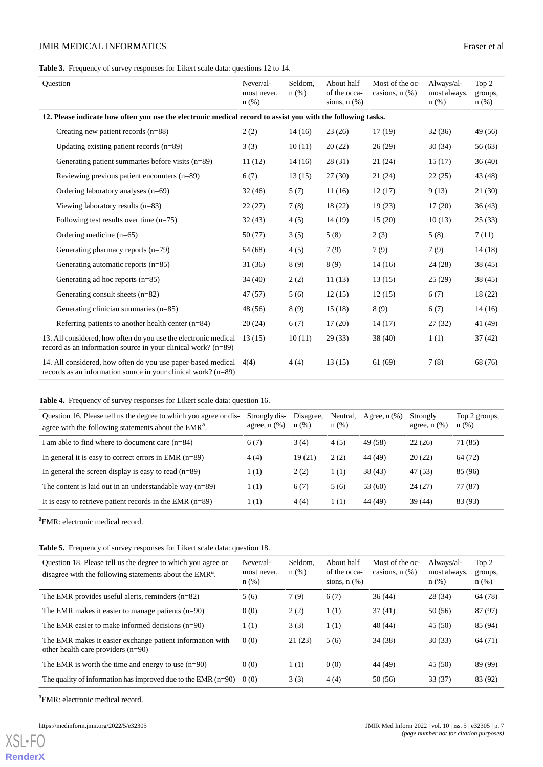**Table 3.** Frequency of survey responses for Likert scale data: questions 12 to 14.

| <b>Ouestion</b>                                                                                                                  | Never/al-<br>most never,<br>$n$ (%) | Seldom,<br>$n$ (%) | About half<br>of the occa-<br>sions, $n$ $(\%)$ | Most of the oc-<br>casions, $n$ $(\%)$ | Always/al-<br>most always,<br>n(%) | Top 2<br>groups,<br>$n$ (%) |  |  |  |
|----------------------------------------------------------------------------------------------------------------------------------|-------------------------------------|--------------------|-------------------------------------------------|----------------------------------------|------------------------------------|-----------------------------|--|--|--|
| 12. Please indicate how often you use the electronic medical record to assist you with the following tasks.                      |                                     |                    |                                                 |                                        |                                    |                             |  |  |  |
| Creating new patient records (n=88)                                                                                              | 2(2)                                | 14(16)             | 23(26)                                          | 17(19)                                 | 32(36)                             | 49 (56)                     |  |  |  |
| Updating existing patient records $(n=89)$                                                                                       | 3(3)                                | 10(11)             | 20(22)                                          | 26(29)                                 | 30(34)                             | 56(63)                      |  |  |  |
| Generating patient summaries before visits (n=89)                                                                                | 11(12)                              | 14(16)             | 28(31)                                          | 21(24)                                 | 15(17)                             | 36(40)                      |  |  |  |
| Reviewing previous patient encounters (n=89)                                                                                     | 6(7)                                | 13(15)             | 27(30)                                          | 21(24)                                 | 22(25)                             | 43 (48)                     |  |  |  |
| Ordering laboratory analyses $(n=69)$                                                                                            | 32(46)                              | 5(7)               | 11(16)                                          | 12(17)                                 | 9(13)                              | 21(30)                      |  |  |  |
| Viewing laboratory results $(n=83)$                                                                                              | 22(27)                              | 7(8)               | 18(22)                                          | 19(23)                                 | 17(20)                             | 36(43)                      |  |  |  |
| Following test results over time $(n=75)$                                                                                        | 32(43)                              | 4(5)               | 14(19)                                          | 15(20)                                 | 10(13)                             | 25(33)                      |  |  |  |
| Ordering medicine $(n=65)$                                                                                                       | 50 (77)                             | 3(5)               | 5(8)                                            | 2(3)                                   | 5(8)                               | 7(11)                       |  |  |  |
| Generating pharmacy reports $(n=79)$                                                                                             | 54 (68)                             | 4(5)               | 7(9)                                            | 7(9)                                   | 7(9)                               | 14(18)                      |  |  |  |
| Generating automatic reports (n=85)                                                                                              | 31(36)                              | 8(9)               | 8(9)                                            | 14(16)                                 | 24(28)                             | 38(45)                      |  |  |  |
| Generating ad hoc reports $(n=85)$                                                                                               | 34(40)                              | 2(2)               | 11(13)                                          | 13(15)                                 | 25(29)                             | 38(45)                      |  |  |  |
| Generating consult sheets $(n=82)$                                                                                               | 47 (57)                             | 5(6)               | 12(15)                                          | 12(15)                                 | 6(7)                               | 18(22)                      |  |  |  |
| Generating clinician summaries $(n=85)$                                                                                          | 48 (56)                             | 8(9)               | 15(18)                                          | 8(9)                                   | 6(7)                               | 14(16)                      |  |  |  |
| Referring patients to another health center $(n=84)$                                                                             | 20(24)                              | 6(7)               | 17(20)                                          | 14(17)                                 | 27(32)                             | 41 (49)                     |  |  |  |
| 13. All considered, how often do you use the electronic medical<br>record as an information source in your clinical work? (n=89) | 13(15)                              | 10(11)             | 29(33)                                          | 38(40)                                 | 1(1)                               | 37(42)                      |  |  |  |
| 14. All considered, how often do you use paper-based medical<br>records as an information source in your clinical work? (n=89)   | 4(4)                                | 4(4)               | 13(15)                                          | 61 (69)                                | 7(8)                               | 68 (76)                     |  |  |  |

#### **Table 4.** Frequency of survey responses for Likert scale data: question 16.

| Question 16. Please tell us the degree to which you agree or dis-<br>agree with the following statements about the EMR <sup>a</sup> . | Strongly dis-<br>agree, $n$ $(\%)$ | Disagree,<br>n(%) | Neutral,<br>$n$ (%) | Agree, $n$ $(\%)$ | Strongly<br>agree, $n$ $(\%)$ | Top 2 groups,<br>$n(\%)$ |
|---------------------------------------------------------------------------------------------------------------------------------------|------------------------------------|-------------------|---------------------|-------------------|-------------------------------|--------------------------|
| I am able to find where to document care $(n=84)$                                                                                     | 6(7)                               | 3(4)              | 4(5)                | 49 (58)           | 22(26)                        | 71 (85)                  |
| In general it is easy to correct errors in EMR $(n=89)$                                                                               | 4(4)                               | 19(21)            | 2(2)                | 44 (49)           | 20(22)                        | 64 (72)                  |
| In general the screen display is easy to read $(n=89)$                                                                                | 1(1)                               | 2(2)              | 1(1)                | 38 (43)           | 47 (53)                       | 85 (96)                  |
| The content is laid out in an understandable way $(n=89)$                                                                             | (1)                                | 6(7)              | 5(6)                | 53 (60)           | 24 (27)                       | 77 (87)                  |
| It is easy to retrieve patient records in the EMR $(n=89)$                                                                            | 1(1)                               | 4(4)              | 1(1)                | 44 (49)           | 39 (44)                       | 83 (93)                  |

<sup>a</sup>EMR: electronic medical record.

**Table 5.** Frequency of survey responses for Likert scale data: question 18.

| Question 18. Please tell us the degree to which you agree or<br>disagree with the following statements about the EMR <sup>a</sup> . | Never/al-<br>most never,<br>n(%) | Seldom.<br>n(%) | About half<br>of the occa-<br>sions, $n$ $(\%)$ | Most of the oc-<br>casions, $n$ $(\%)$ | Always/al-<br>most always.<br>n(%) | Top 2<br>groups,<br>$n(\%)$ |
|-------------------------------------------------------------------------------------------------------------------------------------|----------------------------------|-----------------|-------------------------------------------------|----------------------------------------|------------------------------------|-----------------------------|
| The EMR provides useful alerts, reminders $(n=82)$                                                                                  | 5(6)                             | 7(9)            | 6(7)                                            | 36(44)                                 | 28 (34)                            | 64 (78)                     |
| The EMR makes it easier to manage patients $(n=90)$                                                                                 | 0(0)                             | 2(2)            | 1(1)                                            | 37(41)                                 | 50 (56)                            | 87 (97)                     |
| The EMR easier to make informed decisions $(n=90)$                                                                                  | 1(1)                             | 3(3)            | 1(1)                                            | 40 (44)                                | 45 (50)                            | 85 (94)                     |
| The EMR makes it easier exchange patient information with<br>other health care providers $(n=90)$                                   | 0(0)                             | 21(23)          | 5(6)                                            | 34 (38)                                | 30(33)                             | 64 (71)                     |
| The EMR is worth the time and energy to use $(n=90)$                                                                                | 0(0)                             | 1(1)            | 0(0)                                            | 44 (49)                                | 45(50)                             | 89 (99)                     |
| The quality of information has improved due to the EMR $(n=90)$                                                                     | 0(0)                             | 3(3)            | 4(4)                                            | 50 (56)                                | 33(37)                             | 83 (92)                     |

<sup>a</sup>EMR: electronic medical record.

[XSL](http://www.w3.org/Style/XSL)•FO **[RenderX](http://www.renderx.com/)**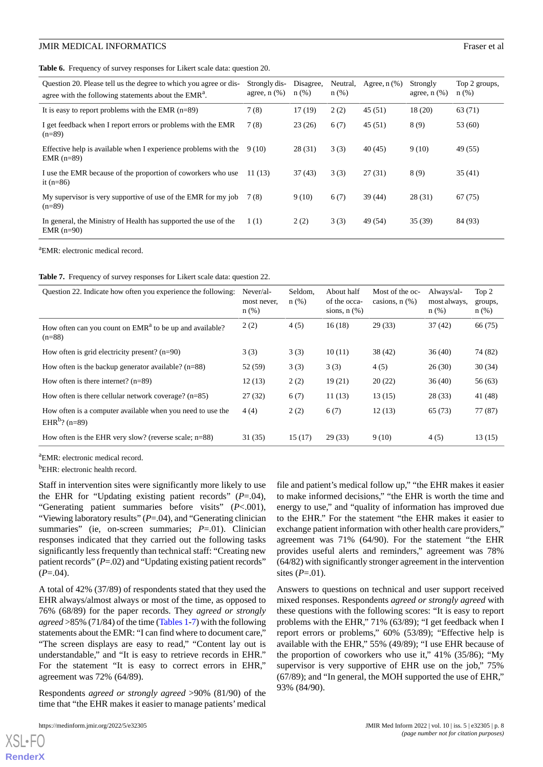**Table 6.** Frequency of survey responses for Likert scale data: question 20.

| Question 20. Please tell us the degree to which you agree or dis-<br>agree with the following statements about the EMR <sup>a</sup> . | Strongly dis-<br>agree, $n$ $(\%)$ | Disagree,<br>$n$ (%) | Neutral,<br>n(%) | Agree, $n$ $(\%)$ | Strongly<br>agree, $n$ $(\%)$ | Top 2 groups,<br>$n(\%)$ |
|---------------------------------------------------------------------------------------------------------------------------------------|------------------------------------|----------------------|------------------|-------------------|-------------------------------|--------------------------|
| It is easy to report problems with the EMR $(n=89)$                                                                                   | 7(8)                               | 17(19)               | 2(2)             | 45(51)            | 18(20)                        | 63 (71)                  |
| I get feedback when I report errors or problems with the EMR<br>$(n=89)$                                                              | 7(8)                               | 23(26)               | 6(7)             | 45(51)            | 8(9)                          | 53 (60)                  |
| Effective help is available when I experience problems with the<br>EMR $(n=89)$                                                       | 9 (10)                             | 28(31)               | 3(3)             | 40(45)            | 9(10)                         | 49 (55)                  |
| I use the EMR because of the proportion of coworkers who use<br>it $(n=86)$                                                           | 11(13)                             | 37(43)               | 3(3)             | 27(31)            | 8(9)                          | 35(41)                   |
| My supervisor is very supportive of use of the EMR for my job<br>$(n=89)$                                                             | 7 (8)                              | 9(10)                | 6(7)             | 39(44)            | 28(31)                        | 67(75)                   |
| In general, the Ministry of Health has supported the use of the<br>$EMR$ (n=90)                                                       | 1(1)                               | 2(2)                 | 3(3)             | 49 (54)           | 35(39)                        | 84 (93)                  |

<span id="page-7-0"></span><sup>a</sup>EMR: electronic medical record.

**Table 7.** Frequency of survey responses for Likert scale data: question 22.

| Question 22. Indicate how often you experience the following:                           | $Never/a1$ -<br>most never,<br>$n$ (%) | Seldom.<br>$n$ (%) | About half<br>of the occa-<br>sions, $n$ $(\%)$ | Most of the oc-<br>casions, $n$ $(\%)$ | Always/al-<br>most always,<br>n(%) | Top 2<br>groups,<br>n(%) |
|-----------------------------------------------------------------------------------------|----------------------------------------|--------------------|-------------------------------------------------|----------------------------------------|------------------------------------|--------------------------|
| How often can you count on $EMRa$ to be up and available?<br>$(n=88)$                   | 2(2)                                   | 4(5)               | 16(18)                                          | 29(33)                                 | 37(42)                             | 66 (75)                  |
| How often is grid electricity present? $(n=90)$                                         | 3(3)                                   | 3(3)               | 10(11)                                          | 38 (42)                                | 36(40)                             | 74 (82)                  |
| How often is the backup generator available? $(n=88)$                                   | 52 (59)                                | 3(3)               | 3(3)                                            | 4(5)                                   | 26(30)                             | 30(34)                   |
| How often is there internet? $(n=89)$                                                   | 12(13)                                 | 2(2)               | 19(21)                                          | 20(22)                                 | 36(40)                             | 56(63)                   |
| How often is there cellular network coverage? $(n=85)$                                  | 27(32)                                 | 6(7)               | 11(13)                                          | 13(15)                                 | 28(33)                             | 41 (48)                  |
| How often is a computer available when you need to use the<br>EHR <sup>b</sup> ? (n=89) | 4(4)                                   | 2(2)               | 6(7)                                            | 12(13)                                 | 65 (73)                            | 77 (87)                  |
| How often is the EHR very slow? (reverse scale; $n=88$ )                                | 31(35)                                 | 15(17)             | 29(33)                                          | 9(10)                                  | 4(5)                               | 13(15)                   |

<sup>a</sup>EMR: electronic medical record.

<sup>b</sup>EHR: electronic health record.

Staff in intervention sites were significantly more likely to use the EHR for "Updating existing patient records" (*P*=.04), "Generating patient summaries before visits" (*P*<.001), "Viewing laboratory results" (*P*=.04), and "Generating clinician summaries" (ie, on-screen summaries; *P*=.01). Clinician responses indicated that they carried out the following tasks significantly less frequently than technical staff: "Creating new patient records" (*P*=.02) and "Updating existing patient records"  $(P=.04)$ .

A total of 42% (37/89) of respondents stated that they used the EHR always/almost always or most of the time, as opposed to 76% (68/89) for the paper records. They *agreed or strongly agreed* >85% (71/84) of the time ([Tables 1](#page-5-0)[-7](#page-7-0)) with the following statements about the EMR: "I can find where to document care," "The screen displays are easy to read," "Content lay out is understandable," and "It is easy to retrieve records in EHR." For the statement "It is easy to correct errors in EHR," agreement was 72% (64/89).

Respondents *agreed or strongly agreed* >90% (81/90) of the time that "the EHR makes it easier to manage patients'medical

[XSL](http://www.w3.org/Style/XSL)•FO **[RenderX](http://www.renderx.com/)**

file and patient's medical follow up," "the EHR makes it easier to make informed decisions," "the EHR is worth the time and energy to use," and "quality of information has improved due to the EHR." For the statement "the EHR makes it easier to exchange patient information with other health care providers," agreement was 71% (64/90). For the statement "the EHR provides useful alerts and reminders," agreement was 78% (64/82) with significantly stronger agreement in the intervention sites (*P*=.01).

Answers to questions on technical and user support received mixed responses. Respondents *agreed or strongly agreed* with these questions with the following scores: "It is easy to report problems with the EHR," 71% (63/89); "I get feedback when I report errors or problems," 60% (53/89); "Effective help is available with the EHR," 55% (49/89); "I use EHR because of the proportion of coworkers who use it," 41% (35/86); "My supervisor is very supportive of EHR use on the job," 75% (67/89); and "In general, the MOH supported the use of EHR," 93% (84/90).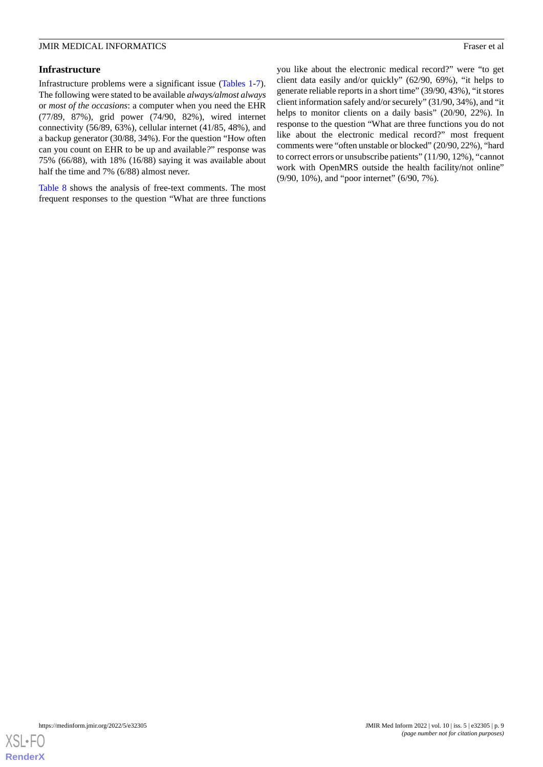#### **Infrastructure**

Infrastructure problems were a significant issue [\(Tables 1-](#page-5-0)[7\)](#page-7-0). The following were stated to be available *always/almost always* or *most of the occasions*: a computer when you need the EHR (77/89, 87%), grid power (74/90, 82%), wired internet connectivity (56/89, 63%), cellular internet (41/85, 48%), and a backup generator (30/88, 34%). For the question "How often can you count on EHR to be up and available*?*" response was 75% (66/88), with 18% (16/88) saying it was available about half the time and 7% (6/88) almost never.

[Table 8](#page-9-0) shows the analysis of free-text comments. The most frequent responses to the question "What are three functions

you like about the electronic medical record?" were "to get client data easily and/or quickly" (62/90, 69%), "it helps to generate reliable reports in a short time" (39/90, 43%), "it stores client information safely and/or securely" (31/90, 34%), and "it helps to monitor clients on a daily basis" (20/90, 22%). In response to the question "What are three functions you do not like about the electronic medical record?" most frequent comments were "often unstable or blocked" (20/90, 22%), "hard to correct errors or unsubscribe patients" (11/90, 12%), "cannot work with OpenMRS outside the health facility/not online" (9/90, 10%), and "poor internet" (6/90, 7%).

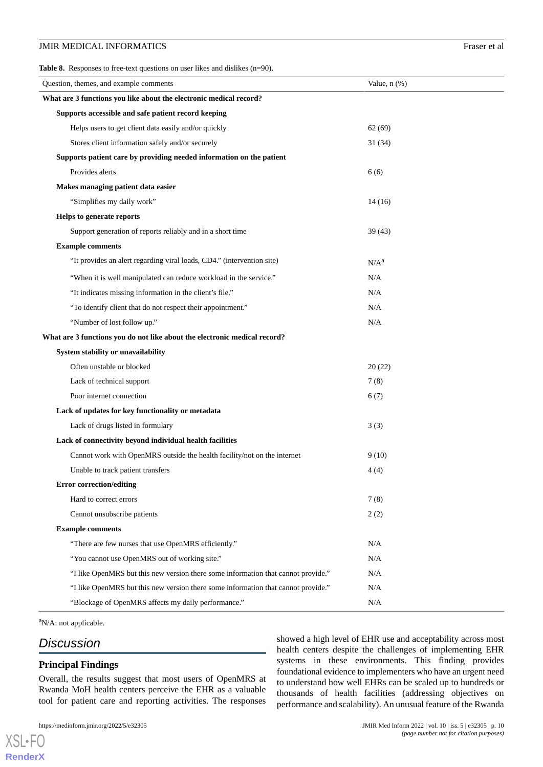<span id="page-9-0"></span>**Table 8.** Responses to free-text questions on user likes and dislikes (n=90).

| Question, themes, and example comments                                            | Value, $n$ $(\%)$ |  |  |  |  |
|-----------------------------------------------------------------------------------|-------------------|--|--|--|--|
| What are 3 functions you like about the electronic medical record?                |                   |  |  |  |  |
| Supports accessible and safe patient record keeping                               |                   |  |  |  |  |
| Helps users to get client data easily and/or quickly                              | 62(69)            |  |  |  |  |
| Stores client information safely and/or securely                                  | 31(34)            |  |  |  |  |
| Supports patient care by providing needed information on the patient              |                   |  |  |  |  |
| Provides alerts                                                                   | 6(6)              |  |  |  |  |
| Makes managing patient data easier                                                |                   |  |  |  |  |
| "Simplifies my daily work"                                                        | 14(16)            |  |  |  |  |
| Helps to generate reports                                                         |                   |  |  |  |  |
| Support generation of reports reliably and in a short time                        | 39(43)            |  |  |  |  |
| <b>Example comments</b>                                                           |                   |  |  |  |  |
| "It provides an alert regarding viral loads, CD4." (intervention site)            | N/A <sup>a</sup>  |  |  |  |  |
| "When it is well manipulated can reduce workload in the service."                 | N/A               |  |  |  |  |
| "It indicates missing information in the client's file."                          | N/A               |  |  |  |  |
| "To identify client that do not respect their appointment."                       | N/A               |  |  |  |  |
| "Number of lost follow up."                                                       | N/A               |  |  |  |  |
| What are 3 functions you do not like about the electronic medical record?         |                   |  |  |  |  |
| System stability or unavailability                                                |                   |  |  |  |  |
| Often unstable or blocked                                                         | 20(22)            |  |  |  |  |
| Lack of technical support                                                         | 7(8)              |  |  |  |  |
| Poor internet connection                                                          | 6(7)              |  |  |  |  |
| Lack of updates for key functionality or metadata                                 |                   |  |  |  |  |
| Lack of drugs listed in formulary                                                 | 3(3)              |  |  |  |  |
| Lack of connectivity beyond individual health facilities                          |                   |  |  |  |  |
| Cannot work with OpenMRS outside the health facility/not on the internet          | 9(10)             |  |  |  |  |
| Unable to track patient transfers                                                 | 4(4)              |  |  |  |  |
| <b>Error correction/editing</b>                                                   |                   |  |  |  |  |
| Hard to correct errors                                                            | 7(8)              |  |  |  |  |
| Cannot unsubscribe patients                                                       | 2(2)              |  |  |  |  |
| <b>Example comments</b>                                                           |                   |  |  |  |  |
| "There are few nurses that use OpenMRS efficiently."                              | N/A               |  |  |  |  |
| "You cannot use OpenMRS out of working site."                                     | N/A               |  |  |  |  |
| "I like OpenMRS but this new version there some information that cannot provide." | N/A               |  |  |  |  |
| "I like OpenMRS but this new version there some information that cannot provide." | N/A               |  |  |  |  |
| "Blockage of OpenMRS affects my daily performance."                               | N/A               |  |  |  |  |

 ${}^{\text{a}}$ N/A: not applicable.

# *Discussion*

[XSL](http://www.w3.org/Style/XSL)•FO **[RenderX](http://www.renderx.com/)**

#### **Principal Findings**

Overall, the results suggest that most users of OpenMRS at Rwanda MoH health centers perceive the EHR as a valuable tool for patient care and reporting activities. The responses

showed a high level of EHR use and acceptability across most health centers despite the challenges of implementing EHR systems in these environments. This finding provides foundational evidence to implementers who have an urgent need to understand how well EHRs can be scaled up to hundreds or thousands of health facilities (addressing objectives on performance and scalability). An unusual feature of the Rwanda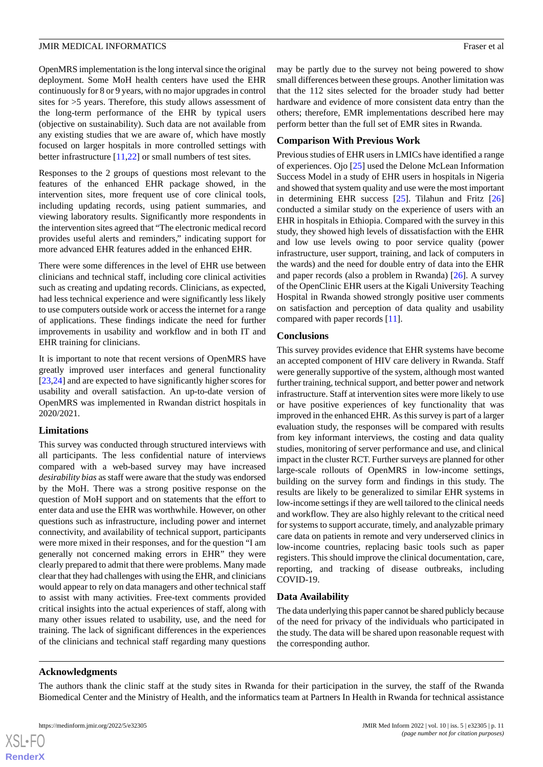OpenMRS implementation is the long interval since the original

deployment. Some MoH health centers have used the EHR continuously for 8 or 9 years, with no major upgrades in control sites for >5 years. Therefore, this study allows assessment of the long-term performance of the EHR by typical users (objective on sustainability). Such data are not available from any existing studies that we are aware of, which have mostly focused on larger hospitals in more controlled settings with better infrastructure [[11,](#page-11-10)[22\]](#page-12-10) or small numbers of test sites.

Responses to the 2 groups of questions most relevant to the features of the enhanced EHR package showed, in the intervention sites, more frequent use of core clinical tools, including updating records, using patient summaries, and viewing laboratory results. Significantly more respondents in the intervention sites agreed that "The electronic medical record provides useful alerts and reminders," indicating support for more advanced EHR features added in the enhanced EHR.

There were some differences in the level of EHR use between clinicians and technical staff, including core clinical activities such as creating and updating records. Clinicians, as expected, had less technical experience and were significantly less likely to use computers outside work or access the internet for a range of applications. These findings indicate the need for further improvements in usability and workflow and in both IT and EHR training for clinicians.

It is important to note that recent versions of OpenMRS have greatly improved user interfaces and general functionality [[23](#page-12-11)[,24](#page-12-12)] and are expected to have significantly higher scores for usability and overall satisfaction. An up-to-date version of OpenMRS was implemented in Rwandan district hospitals in 2020/2021.

### **Limitations**

This survey was conducted through structured interviews with all participants. The less confidential nature of interviews compared with a web-based survey may have increased *desirability bias* as staff were aware that the study was endorsed by the MoH. There was a strong positive response on the question of MoH support and on statements that the effort to enter data and use the EHR was worthwhile. However, on other questions such as infrastructure, including power and internet connectivity, and availability of technical support, participants were more mixed in their responses, and for the question "I am generally not concerned making errors in EHR" they were clearly prepared to admit that there were problems. Many made clear that they had challenges with using the EHR, and clinicians would appear to rely on data managers and other technical staff to assist with many activities. Free-text comments provided critical insights into the actual experiences of staff, along with many other issues related to usability, use, and the need for training. The lack of significant differences in the experiences of the clinicians and technical staff regarding many questions

may be partly due to the survey not being powered to show small differences between these groups. Another limitation was that the 112 sites selected for the broader study had better hardware and evidence of more consistent data entry than the others; therefore, EMR implementations described here may perform better than the full set of EMR sites in Rwanda.

### **Comparison With Previous Work**

Previous studies of EHR users in LMICs have identified a range of experiences. Ojo [[25\]](#page-12-13) used the Delone McLean Information Success Model in a study of EHR users in hospitals in Nigeria and showed that system quality and use were the most important in determining EHR success [[25\]](#page-12-13). Tilahun and Fritz [\[26](#page-12-14)] conducted a similar study on the experience of users with an EHR in hospitals in Ethiopia. Compared with the survey in this study, they showed high levels of dissatisfaction with the EHR and low use levels owing to poor service quality (power infrastructure, user support, training, and lack of computers in the wards) and the need for double entry of data into the EHR and paper records (also a problem in Rwanda) [[26\]](#page-12-14). A survey of the OpenClinic EHR users at the Kigali University Teaching Hospital in Rwanda showed strongly positive user comments on satisfaction and perception of data quality and usability compared with paper records [[11\]](#page-11-10).

#### **Conclusions**

This survey provides evidence that EHR systems have become an accepted component of HIV care delivery in Rwanda. Staff were generally supportive of the system, although most wanted further training, technical support, and better power and network infrastructure. Staff at intervention sites were more likely to use or have positive experiences of key functionality that was improved in the enhanced EHR. As this survey is part of a larger evaluation study, the responses will be compared with results from key informant interviews, the costing and data quality studies, monitoring of server performance and use, and clinical impact in the cluster RCT. Further surveys are planned for other large-scale rollouts of OpenMRS in low-income settings, building on the survey form and findings in this study. The results are likely to be generalized to similar EHR systems in low-income settings if they are well tailored to the clinical needs and workflow. They are also highly relevant to the critical need for systems to support accurate, timely, and analyzable primary care data on patients in remote and very underserved clinics in low-income countries, replacing basic tools such as paper registers. This should improve the clinical documentation, care, reporting, and tracking of disease outbreaks, including COVID-19.

### **Data Availability**

The data underlying this paper cannot be shared publicly because of the need for privacy of the individuals who participated in the study. The data will be shared upon reasonable request with the corresponding author.

### **Acknowledgments**

 $XS$  $\cdot$ FC **[RenderX](http://www.renderx.com/)**

The authors thank the clinic staff at the study sites in Rwanda for their participation in the survey, the staff of the Rwanda Biomedical Center and the Ministry of Health, and the informatics team at Partners In Health in Rwanda for technical assistance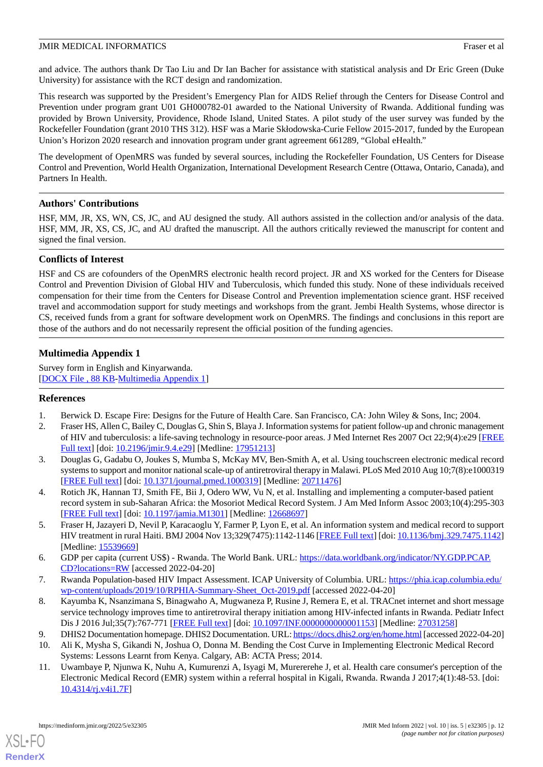and advice. The authors thank Dr Tao Liu and Dr Ian Bacher for assistance with statistical analysis and Dr Eric Green (Duke University) for assistance with the RCT design and randomization.

This research was supported by the President's Emergency Plan for AIDS Relief through the Centers for Disease Control and Prevention under program grant U01 GH000782-01 awarded to the National University of Rwanda. Additional funding was provided by Brown University, Providence, Rhode Island, United States. A pilot study of the user survey was funded by the Rockefeller Foundation (grant 2010 THS 312). HSF was a Marie Skłodowska-Curie Fellow 2015-2017, funded by the European Union's Horizon 2020 research and innovation program under grant agreement 661289, "Global eHealth."

The development of OpenMRS was funded by several sources, including the Rockefeller Foundation, US Centers for Disease Control and Prevention, World Health Organization, International Development Research Centre (Ottawa, Ontario, Canada), and Partners In Health.

#### **Authors' Contributions**

HSF, MM, JR, XS, WN, CS, JC, and AU designed the study. All authors assisted in the collection and/or analysis of the data. HSF, MM, JR, XS, CS, JC, and AU drafted the manuscript. All the authors critically reviewed the manuscript for content and signed the final version.

#### **Conflicts of Interest**

HSF and CS are cofounders of the OpenMRS electronic health record project. JR and XS worked for the Centers for Disease Control and Prevention Division of Global HIV and Tuberculosis, which funded this study. None of these individuals received compensation for their time from the Centers for Disease Control and Prevention implementation science grant. HSF received travel and accommodation support for study meetings and workshops from the grant. Jembi Health Systems, whose director is CS, received funds from a grant for software development work on OpenMRS. The findings and conclusions in this report are those of the authors and do not necessarily represent the official position of the funding agencies.

### **Multimedia Appendix 1**

<span id="page-11-0"></span>Survey form in English and Kinyarwanda. [[DOCX File , 88 KB](https://jmir.org/api/download?alt_name=medinform_v10i5e32305_app1.docx&filename=253b38b464689ebe01f849b098e6653f.docx)-[Multimedia Appendix 1\]](https://jmir.org/api/download?alt_name=medinform_v10i5e32305_app1.docx&filename=253b38b464689ebe01f849b098e6653f.docx)

#### <span id="page-11-1"></span>**References**

- <span id="page-11-2"></span>1. Berwick D. Escape Fire: Designs for the Future of Health Care. San Francisco, CA: John Wiley & Sons, Inc; 2004.
- 2. Fraser HS, Allen C, Bailey C, Douglas G, Shin S, Blaya J. Information systems for patient follow-up and chronic management of HIV and tuberculosis: a life-saving technology in resource-poor areas. J Med Internet Res 2007 Oct 22;9(4):e29 [\[FREE](https://www.jmir.org/2007/4/e29/) [Full text\]](https://www.jmir.org/2007/4/e29/) [doi: [10.2196/jmir.9.4.e29\]](http://dx.doi.org/10.2196/jmir.9.4.e29) [Medline: [17951213](http://www.ncbi.nlm.nih.gov/entrez/query.fcgi?cmd=Retrieve&db=PubMed&list_uids=17951213&dopt=Abstract)]
- <span id="page-11-4"></span><span id="page-11-3"></span>3. Douglas G, Gadabu O, Joukes S, Mumba S, McKay MV, Ben-Smith A, et al. Using touchscreen electronic medical record systems to support and monitor national scale-up of antiretroviral therapy in Malawi. PLoS Med 2010 Aug 10;7(8):e1000319 [[FREE Full text](https://dx.plos.org/10.1371/journal.pmed.1000319)] [doi: [10.1371/journal.pmed.1000319](http://dx.doi.org/10.1371/journal.pmed.1000319)] [Medline: [20711476](http://www.ncbi.nlm.nih.gov/entrez/query.fcgi?cmd=Retrieve&db=PubMed&list_uids=20711476&dopt=Abstract)]
- <span id="page-11-5"></span>4. Rotich JK, Hannan TJ, Smith FE, Bii J, Odero WW, Vu N, et al. Installing and implementing a computer-based patient record system in sub-Saharan Africa: the Mosoriot Medical Record System. J Am Med Inform Assoc 2003;10(4):295-303 [[FREE Full text](http://europepmc.org/abstract/MED/12668697)] [doi: [10.1197/jamia.M1301](http://dx.doi.org/10.1197/jamia.M1301)] [Medline: [12668697](http://www.ncbi.nlm.nih.gov/entrez/query.fcgi?cmd=Retrieve&db=PubMed&list_uids=12668697&dopt=Abstract)]
- <span id="page-11-6"></span>5. Fraser H, Jazayeri D, Nevil P, Karacaoglu Y, Farmer P, Lyon E, et al. An information system and medical record to support HIV treatment in rural Haiti. BMJ 2004 Nov 13;329(7475):1142-1146 [\[FREE Full text\]](http://europepmc.org/abstract/MED/15539669) [doi: [10.1136/bmj.329.7475.1142](http://dx.doi.org/10.1136/bmj.329.7475.1142)] [Medline: [15539669](http://www.ncbi.nlm.nih.gov/entrez/query.fcgi?cmd=Retrieve&db=PubMed&list_uids=15539669&dopt=Abstract)]
- <span id="page-11-7"></span>6. GDP per capita (current US\$) - Rwanda. The World Bank. URL: [https://data.worldbank.org/indicator/NY.GDP.PCAP.](https://data.worldbank.org/indicator/NY.GDP.PCAP.CD?locations=RW) [CD?locations=RW](https://data.worldbank.org/indicator/NY.GDP.PCAP.CD?locations=RW) [accessed 2022-04-20]
- <span id="page-11-9"></span><span id="page-11-8"></span>7. Rwanda Population-based HIV Impact Assessment. ICAP University of Columbia. URL: [https://phia.icap.columbia.edu/](https://phia.icap.columbia.edu/wp-content/uploads/2019/10/RPHIA-Summary-Sheet_Oct-2019.pdf) [wp-content/uploads/2019/10/RPHIA-Summary-Sheet\\_Oct-2019.pdf](https://phia.icap.columbia.edu/wp-content/uploads/2019/10/RPHIA-Summary-Sheet_Oct-2019.pdf) [accessed 2022-04-20]
- <span id="page-11-10"></span>8. Kayumba K, Nsanzimana S, Binagwaho A, Mugwaneza P, Rusine J, Remera E, et al. TRACnet internet and short message service technology improves time to antiretroviral therapy initiation among HIV-infected infants in Rwanda. Pediatr Infect Dis J 2016 Jul;35(7):767-771 [[FREE Full text](http://europepmc.org/abstract/MED/27031258)] [doi: [10.1097/INF.0000000000001153\]](http://dx.doi.org/10.1097/INF.0000000000001153) [Medline: [27031258](http://www.ncbi.nlm.nih.gov/entrez/query.fcgi?cmd=Retrieve&db=PubMed&list_uids=27031258&dopt=Abstract)]
- 9. DHIS2 Documentation homepage. DHIS2 Documentation. URL:<https://docs.dhis2.org/en/home.html> [accessed 2022-04-20] 10. Ali K, Mysha S, Gikandi N, Joshua O, Donna M. Bending the Cost Curve in Implementing Electronic Medical Record
- Systems: Lessons Learnt from Kenya. Calgary, AB: ACTA Press; 2014.
- 11. Uwambaye P, Njunwa K, Nuhu A, Kumurenzi A, Isyagi M, Murererehe J, et al. Health care consumer's perception of the Electronic Medical Record (EMR) system within a referral hospital in Kigali, Rwanda. Rwanda J 2017;4(1):48-53. [doi: [10.4314/rj.v4i1.7F](http://dx.doi.org/10.4314/rj.v4i1.7F)]

[XSL](http://www.w3.org/Style/XSL)•FO **[RenderX](http://www.renderx.com/)**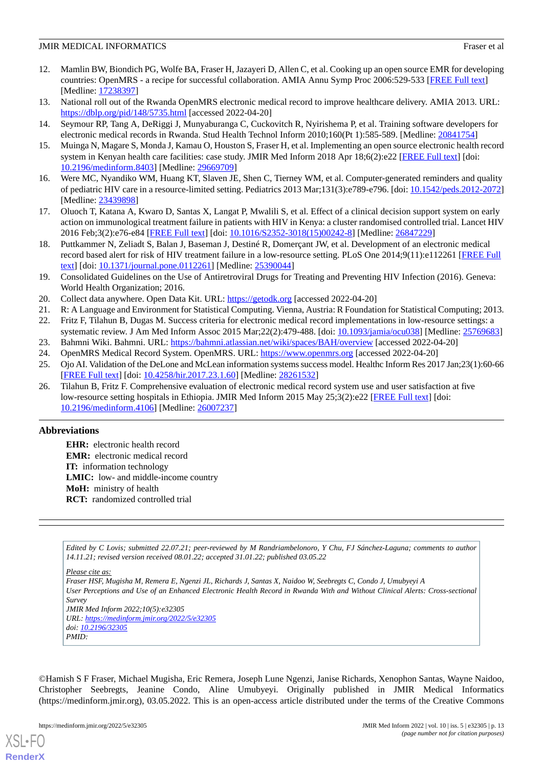- <span id="page-12-0"></span>12. Mamlin BW, Biondich PG, Wolfe BA, Fraser H, Jazayeri D, Allen C, et al. Cooking up an open source EMR for developing countries: OpenMRS - a recipe for successful collaboration. AMIA Annu Symp Proc 2006:529-533 [[FREE Full text\]](http://europepmc.org/abstract/MED/17238397) [Medline: [17238397](http://www.ncbi.nlm.nih.gov/entrez/query.fcgi?cmd=Retrieve&db=PubMed&list_uids=17238397&dopt=Abstract)]
- <span id="page-12-2"></span><span id="page-12-1"></span>13. National roll out of the Rwanda OpenMRS electronic medical record to improve healthcare delivery. AMIA 2013. URL: <https://dblp.org/pid/148/5735.html> [accessed 2022-04-20]
- <span id="page-12-3"></span>14. Seymour RP, Tang A, DeRiggi J, Munyaburanga C, Cuckovitch R, Nyirishema P, et al. Training software developers for electronic medical records in Rwanda. Stud Health Technol Inform 2010;160(Pt 1):585-589. [Medline: [20841754\]](http://www.ncbi.nlm.nih.gov/entrez/query.fcgi?cmd=Retrieve&db=PubMed&list_uids=20841754&dopt=Abstract)
- <span id="page-12-4"></span>15. Muinga N, Magare S, Monda J, Kamau O, Houston S, Fraser H, et al. Implementing an open source electronic health record system in Kenyan health care facilities: case study. JMIR Med Inform 2018 Apr 18;6(2):e22 [\[FREE Full text\]](http://medinform.jmir.org/2018/2/e22/) [doi: [10.2196/medinform.8403\]](http://dx.doi.org/10.2196/medinform.8403) [Medline: [29669709](http://www.ncbi.nlm.nih.gov/entrez/query.fcgi?cmd=Retrieve&db=PubMed&list_uids=29669709&dopt=Abstract)]
- <span id="page-12-5"></span>16. Were MC, Nyandiko WM, Huang KT, Slaven JE, Shen C, Tierney WM, et al. Computer-generated reminders and quality of pediatric HIV care in a resource-limited setting. Pediatrics 2013 Mar;131(3):e789-e796. [doi: [10.1542/peds.2012-2072](http://dx.doi.org/10.1542/peds.2012-2072)] [Medline: [23439898](http://www.ncbi.nlm.nih.gov/entrez/query.fcgi?cmd=Retrieve&db=PubMed&list_uids=23439898&dopt=Abstract)]
- <span id="page-12-6"></span>17. Oluoch T, Katana A, Kwaro D, Santas X, Langat P, Mwalili S, et al. Effect of a clinical decision support system on early action on immunological treatment failure in patients with HIV in Kenya: a cluster randomised controlled trial. Lancet HIV 2016 Feb;3(2):e76-e84 [\[FREE Full text\]](http://europepmc.org/abstract/MED/26847229) [doi: [10.1016/S2352-3018\(15\)00242-8](http://dx.doi.org/10.1016/S2352-3018(15)00242-8)] [Medline: [26847229\]](http://www.ncbi.nlm.nih.gov/entrez/query.fcgi?cmd=Retrieve&db=PubMed&list_uids=26847229&dopt=Abstract)
- <span id="page-12-7"></span>18. Puttkammer N, Zeliadt S, Balan J, Baseman J, Destiné R, Domerçant JW, et al. Development of an electronic medical record based alert for risk of HIV treatment failure in a low-resource setting. PLoS One 2014;9(11):e112261 [\[FREE Full](https://dx.plos.org/10.1371/journal.pone.0112261) [text](https://dx.plos.org/10.1371/journal.pone.0112261)] [doi: [10.1371/journal.pone.0112261\]](http://dx.doi.org/10.1371/journal.pone.0112261) [Medline: [25390044](http://www.ncbi.nlm.nih.gov/entrez/query.fcgi?cmd=Retrieve&db=PubMed&list_uids=25390044&dopt=Abstract)]
- <span id="page-12-9"></span><span id="page-12-8"></span>19. Consolidated Guidelines on the Use of Antiretroviral Drugs for Treating and Preventing HIV Infection (2016). Geneva: World Health Organization; 2016.
- <span id="page-12-10"></span>20. Collect data anywhere. Open Data Kit. URL:<https://getodk.org> [accessed 2022-04-20]
- <span id="page-12-11"></span>21. R: A Language and Environment for Statistical Computing. Vienna, Austria: R Foundation for Statistical Computing; 2013.
- <span id="page-12-13"></span><span id="page-12-12"></span>22. Fritz F, Tilahun B, Dugas M. Success criteria for electronic medical record implementations in low-resource settings: a systematic review. J Am Med Inform Assoc 2015 Mar; 22(2): 479-488. [doi: [10.1093/jamia/ocu038](http://dx.doi.org/10.1093/jamia/ocu038)] [Medline: [25769683\]](http://www.ncbi.nlm.nih.gov/entrez/query.fcgi?cmd=Retrieve&db=PubMed&list_uids=25769683&dopt=Abstract)
- <span id="page-12-14"></span>23. Bahmni Wiki. Bahmni. URL:<https://bahmni.atlassian.net/wiki/spaces/BAH/overview> [accessed 2022-04-20]
- 24. OpenMRS Medical Record System. OpenMRS. URL: <https://www.openmrs.org> [accessed 2022-04-20]
- 25. Ojo AI. Validation of the DeLone and McLean information systems success model. Healthc Inform Res 2017 Jan;23(1):60-66 [[FREE Full text](https://www.e-hir.org/DOIx.php?id=10.4258/hir.2017.23.1.60)] [doi: [10.4258/hir.2017.23.1.60](http://dx.doi.org/10.4258/hir.2017.23.1.60)] [Medline: [28261532](http://www.ncbi.nlm.nih.gov/entrez/query.fcgi?cmd=Retrieve&db=PubMed&list_uids=28261532&dopt=Abstract)]
- 26. Tilahun B, Fritz F. Comprehensive evaluation of electronic medical record system use and user satisfaction at five low-resource setting hospitals in Ethiopia. JMIR Med Inform 2015 May 25;3(2):e22 [[FREE Full text\]](https://medinform.jmir.org/2015/2/e22/) [doi: [10.2196/medinform.4106\]](http://dx.doi.org/10.2196/medinform.4106) [Medline: [26007237](http://www.ncbi.nlm.nih.gov/entrez/query.fcgi?cmd=Retrieve&db=PubMed&list_uids=26007237&dopt=Abstract)]

### **Abbreviations**

**EHR:** electronic health record **EMR:** electronic medical record **IT:** information technology LMIC: low- and middle-income country **MoH:** ministry of health **RCT:** randomized controlled trial

*Edited by C Lovis; submitted 22.07.21; peer-reviewed by M Randriambelonoro, Y Chu, FJ Sánchez-Laguna; comments to author 14.11.21; revised version received 08.01.22; accepted 31.01.22; published 03.05.22*

*Please cite as: Fraser HSF, Mugisha M, Remera E, Ngenzi JL, Richards J, Santas X, Naidoo W, Seebregts C, Condo J, Umubyeyi A User Perceptions and Use of an Enhanced Electronic Health Record in Rwanda With and Without Clinical Alerts: Cross-sectional Survey JMIR Med Inform 2022;10(5):e32305 URL: <https://medinform.jmir.org/2022/5/e32305> doi: [10.2196/32305](http://dx.doi.org/10.2196/32305) PMID:*

©Hamish S F Fraser, Michael Mugisha, Eric Remera, Joseph Lune Ngenzi, Janise Richards, Xenophon Santas, Wayne Naidoo, Christopher Seebregts, Jeanine Condo, Aline Umubyeyi. Originally published in JMIR Medical Informatics (https://medinform.jmir.org), 03.05.2022. This is an open-access article distributed under the terms of the Creative Commons

[XSL](http://www.w3.org/Style/XSL)•FO **[RenderX](http://www.renderx.com/)**